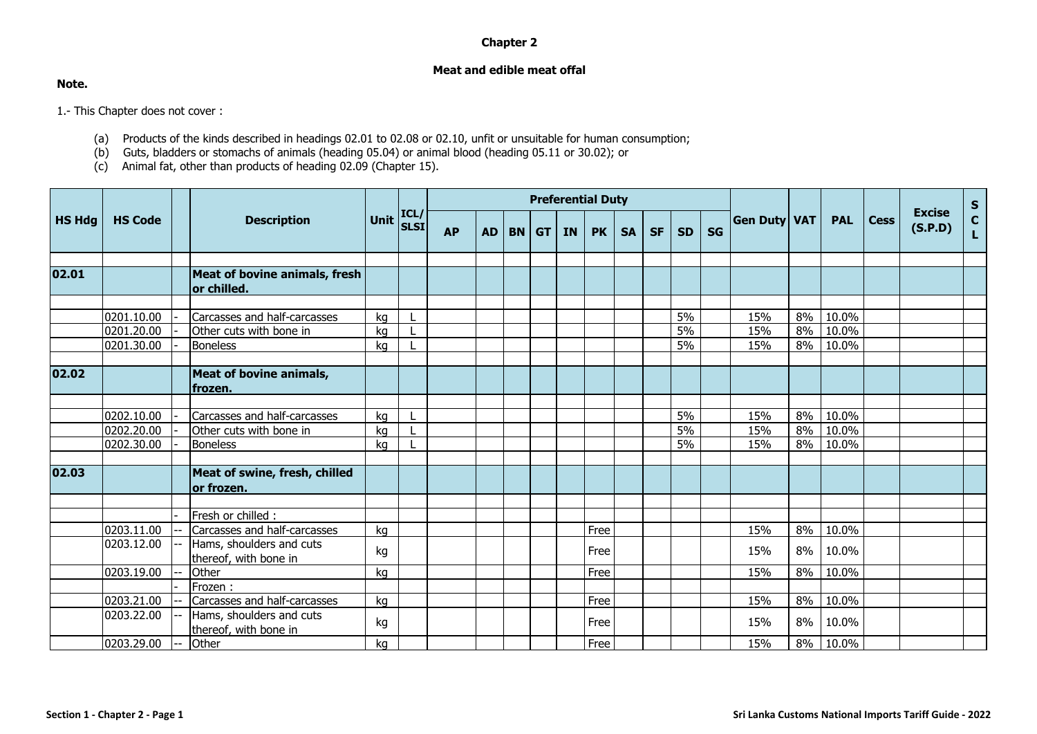## **Chapter 2**

## **Meat and edible meat offal**

## **Note.**

1.- This Chapter does not cover :

- (a) Products of the kinds described in headings 02.01 to 02.08 or 02.10, unfit or unsuitable for human consumption;
- (b) Guts, bladders or stomachs of animals (heading 05.04) or animal blood (heading 05.11 or 30.02); or
- (c) Animal fat, other than products of heading 02.09 (Chapter 15).

|               |                          |  | <b>Description</b>                                  |             |              | <b>Preferential Duty</b> |           |         |  |           |           |           |           |           |           |                     |          |                |             |                          |              |
|---------------|--------------------------|--|-----------------------------------------------------|-------------|--------------|--------------------------|-----------|---------|--|-----------|-----------|-----------|-----------|-----------|-----------|---------------------|----------|----------------|-------------|--------------------------|--------------|
| <b>HS Hdg</b> | <b>HS Code</b>           |  |                                                     | <b>Unit</b> | ICL/<br>SLSI | <b>AP</b>                | <b>AD</b> | $BN$ GT |  | <b>IN</b> | <b>PK</b> | <b>SA</b> | <b>SF</b> | <b>SD</b> | <b>SG</b> | <b>Gen Duty VAT</b> |          | <b>PAL</b>     | <b>Cess</b> | <b>Excise</b><br>(S.P.D) | $S_{C}$<br>L |
| 02.01         |                          |  | <b>Meat of bovine animals, fresh</b><br>or chilled. |             |              |                          |           |         |  |           |           |           |           |           |           |                     |          |                |             |                          |              |
|               | 0201.10.00               |  | Carcasses and half-carcasses                        | kg          |              |                          |           |         |  |           |           |           |           | 5%        |           | 15%                 | 8%       | 10.0%          |             |                          |              |
|               | 0201.20.00<br>0201.30.00 |  | Other cuts with bone in<br><b>Boneless</b>          | kg<br>kg    |              |                          |           |         |  |           |           |           |           | 5%<br>5%  |           | 15%<br>15%          | 8%<br>8% | 10.0%<br>10.0% |             |                          |              |
| 02.02         |                          |  | <b>Meat of bovine animals,</b><br>frozen.           |             |              |                          |           |         |  |           |           |           |           |           |           |                     |          |                |             |                          |              |
|               |                          |  |                                                     |             |              |                          |           |         |  |           |           |           |           |           |           |                     |          |                |             |                          |              |
|               | 0202.10.00               |  | Carcasses and half-carcasses                        | kg          |              |                          |           |         |  |           |           |           |           | 5%        |           | 15%                 | 8%       | 10.0%          |             |                          |              |
|               | 0202.20.00               |  | Other cuts with bone in                             | kg          |              |                          |           |         |  |           |           |           |           | 5%        |           | 15%                 | 8%       | 10.0%          |             |                          |              |
|               | 0202.30.00               |  | <b>Boneless</b>                                     | kg          |              |                          |           |         |  |           |           |           |           | 5%        |           | 15%                 | 8%       | 10.0%          |             |                          |              |
| 02.03         |                          |  | Meat of swine, fresh, chilled<br>or frozen.         |             |              |                          |           |         |  |           |           |           |           |           |           |                     |          |                |             |                          |              |
|               |                          |  |                                                     |             |              |                          |           |         |  |           |           |           |           |           |           |                     |          |                |             |                          |              |
|               |                          |  | Fresh or chilled :                                  |             |              |                          |           |         |  |           |           |           |           |           |           |                     |          |                |             |                          |              |
|               | 0203.11.00               |  | Carcasses and half-carcasses                        | kg          |              |                          |           |         |  |           | Free      |           |           |           |           | 15%                 | 8%       | 10.0%          |             |                          |              |
|               | 0203.12.00               |  | Hams, shoulders and cuts<br>thereof, with bone in   | kg          |              |                          |           |         |  |           | Free      |           |           |           |           | 15%                 | 8%       | 10.0%          |             |                          |              |
|               | 0203.19.00               |  | Other                                               | kg          |              |                          |           |         |  |           | Free      |           |           |           |           | 15%                 | 8%       | 10.0%          |             |                          |              |
|               |                          |  | Frozen:                                             |             |              |                          |           |         |  |           |           |           |           |           |           |                     |          |                |             |                          |              |
|               | 0203.21.00               |  | Carcasses and half-carcasses                        | kg          |              |                          |           |         |  |           | Free      |           |           |           |           | 15%                 | 8%       | 10.0%          |             |                          |              |
|               | 0203.22.00               |  | Hams, shoulders and cuts<br>thereof, with bone in   | kg          |              |                          |           |         |  |           | Free      |           |           |           |           | 15%                 | 8%       | 10.0%          |             |                          |              |
|               | 0203.29.00               |  | Other                                               | kg          |              |                          |           |         |  |           | Free      |           |           |           |           | 15%                 |          | 8% 10.0%       |             |                          |              |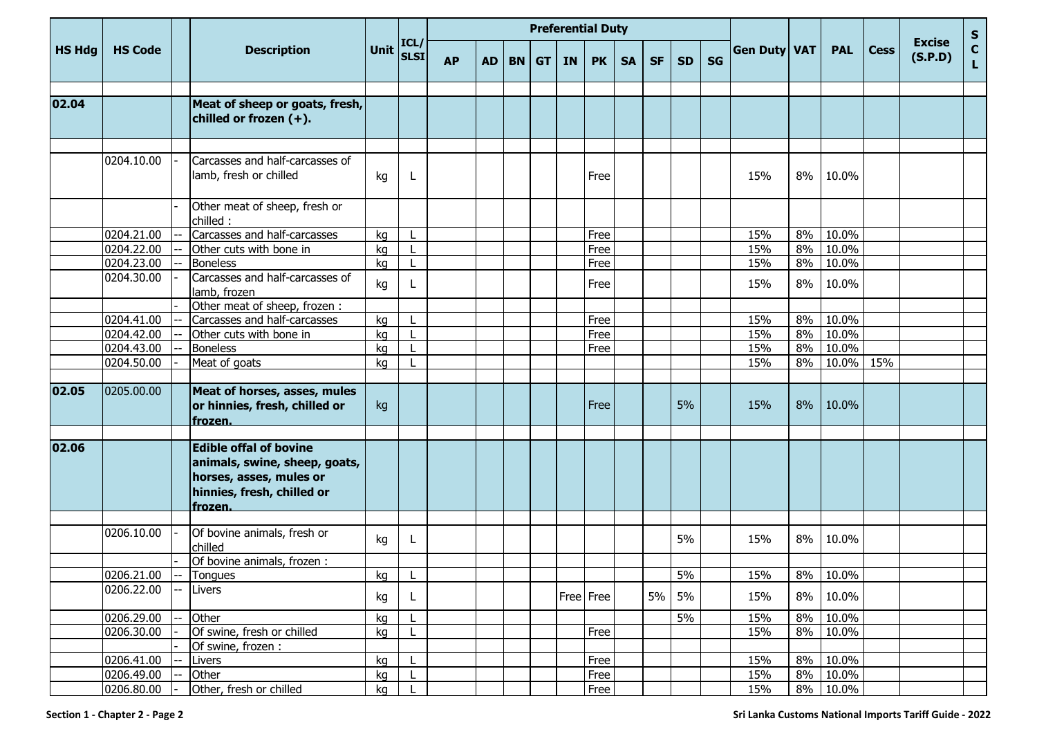|               |                |                                                                                                                                    |             |                     | <b>Preferential Duty</b> |           |           |           |           |           |           |           |           |           |              |    |            |             |                          |         |
|---------------|----------------|------------------------------------------------------------------------------------------------------------------------------------|-------------|---------------------|--------------------------|-----------|-----------|-----------|-----------|-----------|-----------|-----------|-----------|-----------|--------------|----|------------|-------------|--------------------------|---------|
| <b>HS Hdg</b> | <b>HS Code</b> | <b>Description</b>                                                                                                                 | <b>Unit</b> | ICL/<br><b>SLSI</b> | <b>AP</b>                | <b>AD</b> | <b>BN</b> | <b>GT</b> | <b>IN</b> | <b>PK</b> | <b>SA</b> | <b>SF</b> | <b>SD</b> | <b>SG</b> | Gen Duty VAT |    | <b>PAL</b> | <b>Cess</b> | <b>Excise</b><br>(S.P.D) | S<br>L. |
|               |                |                                                                                                                                    |             |                     |                          |           |           |           |           |           |           |           |           |           |              |    |            |             |                          |         |
| 02.04         |                | Meat of sheep or goats, fresh,<br>chilled or frozen (+).                                                                           |             |                     |                          |           |           |           |           |           |           |           |           |           |              |    |            |             |                          |         |
|               |                |                                                                                                                                    |             |                     |                          |           |           |           |           |           |           |           |           |           |              |    |            |             |                          |         |
|               | 0204.10.00     | Carcasses and half-carcasses of<br>lamb, fresh or chilled                                                                          | kg          | L                   |                          |           |           |           |           | Free      |           |           |           |           | 15%          | 8% | 10.0%      |             |                          |         |
|               |                | Other meat of sheep, fresh or<br>chilled:                                                                                          |             |                     |                          |           |           |           |           |           |           |           |           |           |              |    |            |             |                          |         |
|               | 0204.21.00     | Carcasses and half-carcasses                                                                                                       | kg          |                     |                          |           |           |           |           | Free      |           |           |           |           | 15%          | 8% | 10.0%      |             |                          |         |
|               | 0204.22.00     | Other cuts with bone in                                                                                                            | kg          |                     |                          |           |           |           |           | Free      |           |           |           |           | 15%          | 8% | 10.0%      |             |                          |         |
|               | 0204.23.00     | <b>Boneless</b>                                                                                                                    | kg          |                     |                          |           |           |           |           | Free      |           |           |           |           | 15%          | 8% | 10.0%      |             |                          |         |
|               | 0204.30.00     | Carcasses and half-carcasses of<br>lamb, frozen                                                                                    | kg          | L                   |                          |           |           |           |           | Free      |           |           |           |           | 15%          | 8% | 10.0%      |             |                          |         |
|               |                | Other meat of sheep, frozen:                                                                                                       |             |                     |                          |           |           |           |           |           |           |           |           |           |              |    |            |             |                          |         |
|               | 0204.41.00     | Carcasses and half-carcasses                                                                                                       | kg          |                     |                          |           |           |           |           | Free      |           |           |           |           | 15%          | 8% | 10.0%      |             |                          |         |
|               | 0204.42.00     | Other cuts with bone in                                                                                                            | kg          |                     |                          |           |           |           |           | Free      |           |           |           |           | 15%          | 8% | 10.0%      |             |                          |         |
|               | 0204.43.00     | <b>Boneless</b>                                                                                                                    | kg          |                     |                          |           |           |           |           | Free      |           |           |           |           | 15%          | 8% | 10.0%      |             |                          |         |
|               | 0204.50.00     | Meat of goats                                                                                                                      | ka          |                     |                          |           |           |           |           |           |           |           |           |           | 15%          | 8% | 10.0% 15%  |             |                          |         |
| 02.05         | 0205.00.00     | Meat of horses, asses, mules<br>or hinnies, fresh, chilled or<br>frozen.                                                           | kg          |                     |                          |           |           |           |           | Free      |           |           | 5%        |           | 15%          | 8% | 10.0%      |             |                          |         |
| 02.06         |                | <b>Edible offal of bovine</b><br>animals, swine, sheep, goats,<br>horses, asses, mules or<br>hinnies, fresh, chilled or<br>frozen. |             |                     |                          |           |           |           |           |           |           |           |           |           |              |    |            |             |                          |         |
|               |                |                                                                                                                                    |             |                     |                          |           |           |           |           |           |           |           |           |           |              |    |            |             |                          |         |
|               | 0206.10.00     | Of bovine animals, fresh or<br>chilled                                                                                             | kg          | L                   |                          |           |           |           |           |           |           |           | 5%        |           | 15%          | 8% | 10.0%      |             |                          |         |
|               |                | Of bovine animals, frozen :                                                                                                        |             |                     |                          |           |           |           |           |           |           |           |           |           |              |    |            |             |                          |         |
|               | 0206.21.00     | Tongues                                                                                                                            | kg          | L.                  |                          |           |           |           |           |           |           |           | $5\%$     |           | 15%          |    | 8% 10.0%   |             |                          |         |
|               | 0206.22.00     | Livers                                                                                                                             | kg          | L.                  |                          |           |           |           |           | Free Free |           | 5%        | 5%        |           | 15%          | 8% | 10.0%      |             |                          |         |
|               | 0206.29.00     | Other                                                                                                                              | kg          |                     |                          |           |           |           |           |           |           |           | 5%        |           | 15%          | 8% | 10.0%      |             |                          |         |
|               | 0206.30.00     | Of swine, fresh or chilled                                                                                                         | kg          |                     |                          |           |           |           |           | Free      |           |           |           |           | 15%          | 8% | 10.0%      |             |                          |         |
|               |                | Of swine, frozen :                                                                                                                 |             |                     |                          |           |           |           |           |           |           |           |           |           |              |    |            |             |                          |         |
|               | 0206.41.00     | Livers                                                                                                                             | kg          |                     |                          |           |           |           |           | Free      |           |           |           |           | 15%          | 8% | 10.0%      |             |                          |         |
|               | 0206.49.00     | Other                                                                                                                              | kg          |                     |                          |           |           |           |           | Free      |           |           |           |           | 15%          | 8% | 10.0%      |             |                          |         |
|               | 0206.80.00     | Other, fresh or chilled                                                                                                            | kg          | L.                  |                          |           |           |           |           | Free      |           |           |           |           | 15%          |    | 8% 10.0%   |             |                          |         |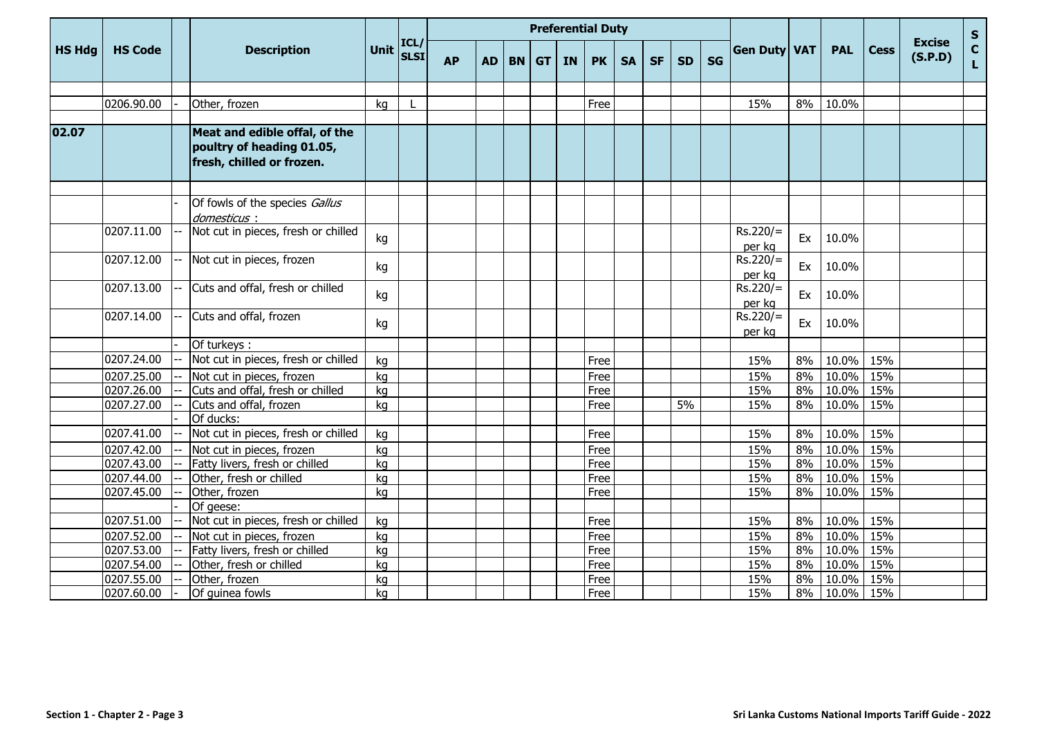|               |                |                                                                                         |             |                     | <b>Preferential Duty</b> |           |           |                            |           |           |           |           |           |           |                      |       |              |             |                          |             |
|---------------|----------------|-----------------------------------------------------------------------------------------|-------------|---------------------|--------------------------|-----------|-----------|----------------------------|-----------|-----------|-----------|-----------|-----------|-----------|----------------------|-------|--------------|-------------|--------------------------|-------------|
| <b>HS Hdg</b> | <b>HS Code</b> | <b>Description</b>                                                                      | <b>Unit</b> | ICL/<br><b>SLSI</b> | <b>AP</b>                | <b>AD</b> | <b>BN</b> | $\overline{\mathsf{I}}$ GT | <b>IN</b> | <b>PK</b> | <b>SA</b> | <b>SF</b> | <b>SD</b> | <b>SG</b> | Gen Duty VAT         |       | <b>PAL</b>   | <b>Cess</b> | <b>Excise</b><br>(S.P.D) | S<br>C<br>L |
|               |                |                                                                                         |             |                     |                          |           |           |                            |           |           |           |           |           |           |                      |       |              |             |                          |             |
|               | 0206.90.00     | Other, frozen                                                                           | kg          |                     |                          |           |           |                            |           | Free      |           |           |           |           | 15%                  | 8%    | 10.0%        |             |                          |             |
| 02.07         |                | Meat and edible offal, of the<br>poultry of heading 01.05,<br>fresh, chilled or frozen. |             |                     |                          |           |           |                            |           |           |           |           |           |           |                      |       |              |             |                          |             |
|               |                | Of fowls of the species Gallus                                                          |             |                     |                          |           |           |                            |           |           |           |           |           |           |                      |       |              |             |                          |             |
|               |                | domesticus:                                                                             |             |                     |                          |           |           |                            |           |           |           |           |           |           |                      |       |              |             |                          |             |
|               | 0207.11.00     | Not cut in pieces, fresh or chilled                                                     | kg          |                     |                          |           |           |                            |           |           |           |           |           |           | $Rs.220/=$<br>per kg | Ex    | 10.0%        |             |                          |             |
|               | 0207.12.00     | Not cut in pieces, frozen                                                               | kg          |                     |                          |           |           |                            |           |           |           |           |           |           | $Rs.220/=$<br>per kg | Ex    | 10.0%        |             |                          |             |
|               | 0207.13.00     | Cuts and offal, fresh or chilled                                                        | kg          |                     |                          |           |           |                            |           |           |           |           |           |           | $Rs.220/=$<br>per kg | Ex    | 10.0%        |             |                          |             |
|               | 0207.14.00     | Cuts and offal, frozen                                                                  | kg          |                     |                          |           |           |                            |           |           |           |           |           |           | $Rs.220/=$<br>per kg | Ex    | 10.0%        |             |                          |             |
|               |                | Of turkeys:                                                                             |             |                     |                          |           |           |                            |           |           |           |           |           |           |                      |       |              |             |                          |             |
|               | 0207.24.00     | Not cut in pieces, fresh or chilled                                                     | kg          |                     |                          |           |           |                            |           | Free      |           |           |           |           | 15%                  | 8%    | 10.0%        | 15%         |                          |             |
|               | 0207.25.00     | Not cut in pieces, frozen                                                               | kg          |                     |                          |           |           |                            |           | Free      |           |           |           |           | 15%                  | 8%    | 10.0%        | 15%         |                          |             |
|               | 0207.26.00     | Cuts and offal, fresh or chilled                                                        | kg          |                     |                          |           |           |                            |           | Free      |           |           |           |           | 15%                  | 8%    | 10.0%        | 15%         |                          |             |
|               | 0207.27.00     | Cuts and offal, frozen                                                                  | kg          |                     |                          |           |           |                            |           | Free      |           |           | 5%        |           | 15%                  | 8%    | 10.0%        | 15%         |                          |             |
|               |                | Of ducks:                                                                               |             |                     |                          |           |           |                            |           |           |           |           |           |           |                      |       |              |             |                          |             |
|               | 0207.41.00     | Not cut in pieces, fresh or chilled                                                     | kg          |                     |                          |           |           |                            |           | Free      |           |           |           |           | 15%                  | 8%    | 10.0%        | 15%         |                          |             |
|               | 0207.42.00     | Not cut in pieces, frozen                                                               | kg          |                     |                          |           |           |                            |           | Free      |           |           |           |           | 15%                  | 8%    | 10.0%        | 15%         |                          |             |
|               | 0207.43.00     | Fatty livers, fresh or chilled                                                          | kg          |                     |                          |           |           |                            |           | Free      |           |           |           |           | 15%                  | 8%    | 10.0%        | 15%         |                          |             |
|               | 0207.44.00     | Other, fresh or chilled                                                                 | kg          |                     |                          |           |           |                            |           | Free      |           |           |           |           | 15%                  | 8%    | 10.0%        | 15%         |                          |             |
|               | 0207.45.00     | Other, frozen                                                                           | kg          |                     |                          |           |           |                            |           | Free      |           |           |           |           | 15%                  | 8%    | 10.0%        | 15%         |                          |             |
|               |                | Of geese:                                                                               |             |                     |                          |           |           |                            |           |           |           |           |           |           |                      |       |              |             |                          |             |
|               | 0207.51.00     | Not cut in pieces, fresh or chilled                                                     | kg          |                     |                          |           |           |                            |           | Free      |           |           |           |           | 15%                  | 8%    | 10.0%        | 15%         |                          |             |
|               | 0207.52.00     | Not cut in pieces, frozen                                                               | kg          |                     |                          |           |           |                            |           | Free      |           |           |           |           | 15%                  | 8%    | 10.0%        | 15%         |                          |             |
|               | 0207.53.00     | Fatty livers, fresh or chilled                                                          | kg          |                     |                          |           |           |                            |           | Free      |           |           |           |           | 15%                  | 8%    | 10.0%        | 15%         |                          |             |
|               | 0207.54.00     | Other, fresh or chilled                                                                 | kg          |                     |                          |           |           |                            |           | Free      |           |           |           |           | 15%                  | $8\%$ | 10.0%        | 15%         |                          |             |
|               | 0207.55.00     | Other, frozen                                                                           | kg          |                     |                          |           |           |                            |           | Free      |           |           |           |           | 15%                  | 8%    | 10.0%        | 15%         |                          |             |
|               | 0207.60.00     | Of guinea fowls                                                                         | kg          |                     |                          |           |           |                            |           | Free      |           |           |           |           | 15%                  |       | 8% 10.0% 15% |             |                          |             |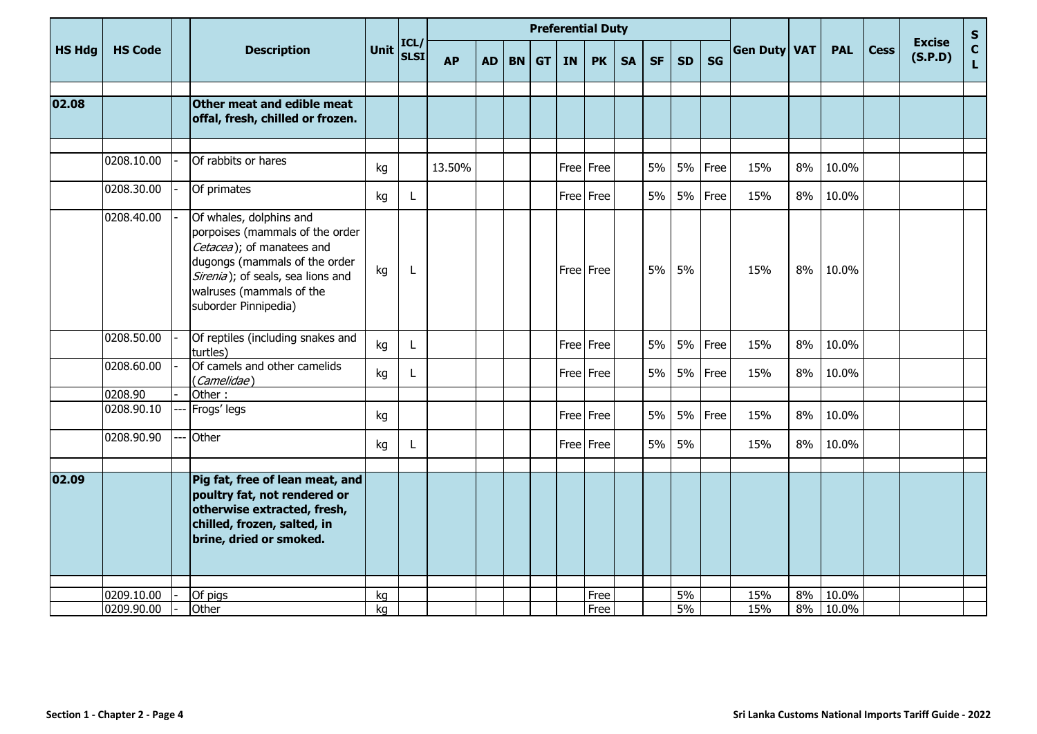|               |                |     |                                                                                                                                                                                                                   |             |                     | <b>Preferential Duty</b> |           |           |           |           |           |           |           |           |           |              |    |            |             |                          | $\mathbf S$                  |
|---------------|----------------|-----|-------------------------------------------------------------------------------------------------------------------------------------------------------------------------------------------------------------------|-------------|---------------------|--------------------------|-----------|-----------|-----------|-----------|-----------|-----------|-----------|-----------|-----------|--------------|----|------------|-------------|--------------------------|------------------------------|
| <b>HS Hdg</b> | <b>HS Code</b> |     | <b>Description</b>                                                                                                                                                                                                | <b>Unit</b> | ICL/<br><b>SLSI</b> | <b>AP</b>                | <b>AD</b> | <b>BN</b> | <b>GT</b> | <b>IN</b> | <b>PK</b> | <b>SA</b> | <b>SF</b> | <b>SD</b> | <b>SG</b> | Gen Duty VAT |    | <b>PAL</b> | <b>Cess</b> | <b>Excise</b><br>(S.P.D) | $\mathbf{c}$<br>$\mathbf{L}$ |
| 02.08         |                |     | Other meat and edible meat<br>offal, fresh, chilled or frozen.                                                                                                                                                    |             |                     |                          |           |           |           |           |           |           |           |           |           |              |    |            |             |                          |                              |
|               | 0208.10.00     |     | Of rabbits or hares                                                                                                                                                                                               | kg          |                     | 13.50%                   |           |           |           |           | Free Free |           | 5%        | 5%        | Free      | 15%          | 8% | 10.0%      |             |                          |                              |
|               | 0208.30.00     |     | Of primates                                                                                                                                                                                                       | kg          | L                   |                          |           |           |           |           | Free Free |           | 5%        | 5%        | Free      | 15%          | 8% | 10.0%      |             |                          |                              |
|               | 0208.40.00     |     | Of whales, dolphins and<br>porpoises (mammals of the order<br>Cetacea); of manatees and<br>dugongs (mammals of the order<br>Sirenia); of seals, sea lions and<br>walruses (mammals of the<br>suborder Pinnipedia) | kg          | L                   |                          |           |           |           |           | Free Free |           | 5%        | 5%        |           | 15%          | 8% | 10.0%      |             |                          |                              |
|               | 0208.50.00     |     | Of reptiles (including snakes and<br>turtles)                                                                                                                                                                     | kg          | L                   |                          |           |           |           |           | Free Free |           | 5%        | 5%        | Free      | 15%          | 8% | 10.0%      |             |                          |                              |
|               | 0208.60.00     |     | Of camels and other camelids<br>(Camelidae)                                                                                                                                                                       | kg          | L                   |                          |           |           |           |           | Free Free |           | 5%        | 5%        | Free      | 15%          | 8% | 10.0%      |             |                          |                              |
|               | 0208.90        |     | Other:                                                                                                                                                                                                            |             |                     |                          |           |           |           |           |           |           |           |           |           |              |    |            |             |                          |                              |
|               | 0208.90.10     |     | Frogs' legs                                                                                                                                                                                                       | kg          |                     |                          |           |           |           |           | Free Free |           | 5%        | 5%        | Free      | 15%          | 8% | 10.0%      |             |                          |                              |
|               | 0208.90.90     | --- | Other                                                                                                                                                                                                             | kg          |                     |                          |           |           |           |           | Free Free |           | 5%        | 5%        |           | 15%          | 8% | 10.0%      |             |                          |                              |
| 02.09         |                |     | Pig fat, free of lean meat, and<br>poultry fat, not rendered or<br>otherwise extracted, fresh,<br>chilled, frozen, salted, in<br>brine, dried or smoked.                                                          |             |                     |                          |           |           |           |           |           |           |           |           |           |              |    |            |             |                          |                              |
|               | 0209.10.00     |     | Of pigs                                                                                                                                                                                                           | kg          |                     |                          |           |           |           |           | Free      |           |           | 5%        |           | 15%          | 8% | 10.0%      |             |                          |                              |
|               | 0209.90.00     |     | Other                                                                                                                                                                                                             | kg          |                     |                          |           |           |           |           | Free      |           |           | 5%        |           | 15%          |    | 8% 10.0%   |             |                          |                              |